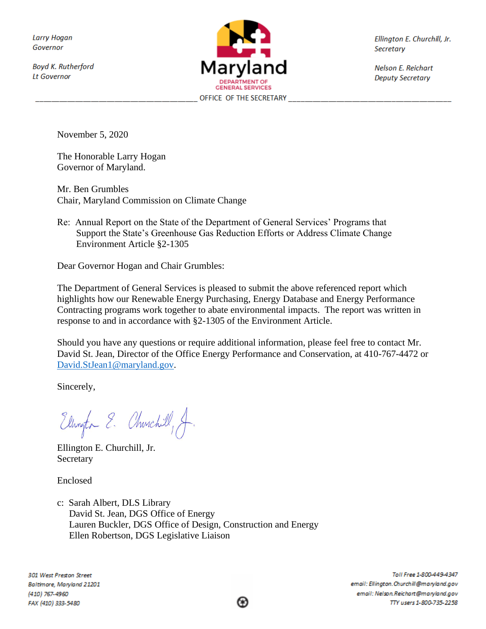**Larry Hogan** Governor

**Boyd K. Rutherford Lt Governor** 



Ellington E. Churchill, Jr. Secretary

Nelson E. Reichart **Deputy Secretary** 

November 5, 2020

The Honorable Larry Hogan Governor of Maryland.

Mr. Ben Grumbles Chair, Maryland Commission on Climate Change

Re: Annual Report on the State of the Department of General Services' Programs that Support the State's Greenhouse Gas Reduction Efforts or Address Climate Change Environment Article §2-1305

Dear Governor Hogan and Chair Grumbles:

The Department of General Services is pleased to submit the above referenced report which highlights how our Renewable Energy Purchasing, Energy Database and Energy Performance Contracting programs work together to abate environmental impacts. The report was written in response to and in accordance with §2-1305 of the Environment Article.

Should you have any questions or require additional information, please feel free to contact Mr. David St. Jean, Director of the Office Energy Performance and Conservation, at 410-767-4472 or [David.StJean1@maryland.gov.](mailto:David.StJean1@maryland.gov)

Sincerely,

Ellington E. Churchill, A.

Ellington E. Churchill, Jr. **Secretary** 

Enclosed

c: Sarah Albert, DLS Library David St. Jean, DGS Office of Energy Lauren Buckler, DGS Office of Design, Construction and Energy Ellen Robertson, DGS Legislative Liaison

301 West Preston Street Baltimore, Maryland 21201 (410) 767-4960 FAX (410) 333-5480

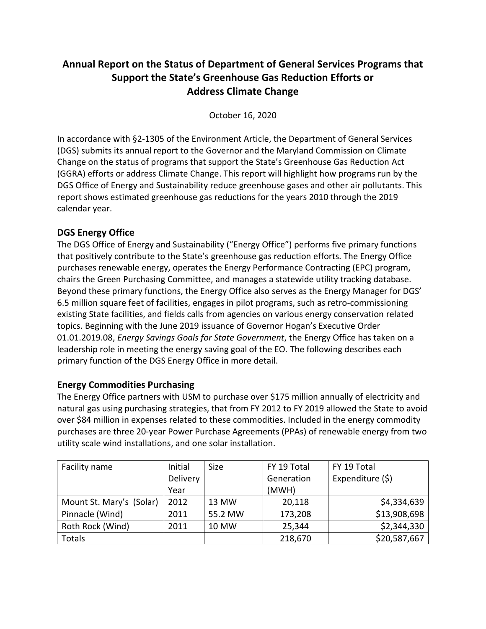# **Annual Report on the Status of Department of General Services Programs that Support the State's Greenhouse Gas Reduction Efforts or Address Climate Change**

October 16, 2020

In accordance with §2-1305 of the Environment Article, the Department of General Services (DGS) submits its annual report to the Governor and the Maryland Commission on Climate Change on the status of programs that support the State's Greenhouse Gas Reduction Act (GGRA) efforts or address Climate Change. This report will highlight how programs run by the DGS Office of Energy and Sustainability reduce greenhouse gases and other air pollutants. This report shows estimated greenhouse gas reductions for the years 2010 through the 2019 calendar year.

## **DGS Energy Office**

The DGS Office of Energy and Sustainability ("Energy Office") performs five primary functions that positively contribute to the State's greenhouse gas reduction efforts. The Energy Office purchases renewable energy, operates the Energy Performance Contracting (EPC) program, chairs the Green Purchasing Committee, and manages a statewide utility tracking database. Beyond these primary functions, the Energy Office also serves as the Energy Manager for DGS' 6.5 million square feet of facilities, engages in pilot programs, such as retro-commissioning existing State facilities, and fields calls from agencies on various energy conservation related topics. Beginning with the June 2019 issuance of Governor Hogan's Executive Order 01.01.2019.08, *Energy Savings Goals for State Government*, the Energy Office has taken on a leadership role in meeting the energy saving goal of the EO. The following describes each primary function of the DGS Energy Office in more detail.

### **Energy Commodities Purchasing**

The Energy Office partners with USM to purchase over \$175 million annually of electricity and natural gas using purchasing strategies, that from FY 2012 to FY 2019 allowed the State to avoid over \$84 million in expenses related to these commodities. Included in the energy commodity purchases are three 20-year Power Purchase Agreements (PPAs) of renewable energy from two utility scale wind installations, and one solar installation.

| Facility name            | Initial  | <b>Size</b> | FY 19 Total | FY 19 Total       |  |
|--------------------------|----------|-------------|-------------|-------------------|--|
|                          | Delivery |             | Generation  | Expenditure $(5)$ |  |
|                          | Year     |             | (MWH)       |                   |  |
| Mount St. Mary's (Solar) | 2012     | 13 MW       | 20,118      | \$4,334,639       |  |
| Pinnacle (Wind)          | 2011     | 55.2 MW     | 173,208     | \$13,908,698      |  |
| Roth Rock (Wind)         | 2011     | 10 MW       | 25,344      | \$2,344,330       |  |
| Totals                   |          |             | 218,670     | \$20,587,667      |  |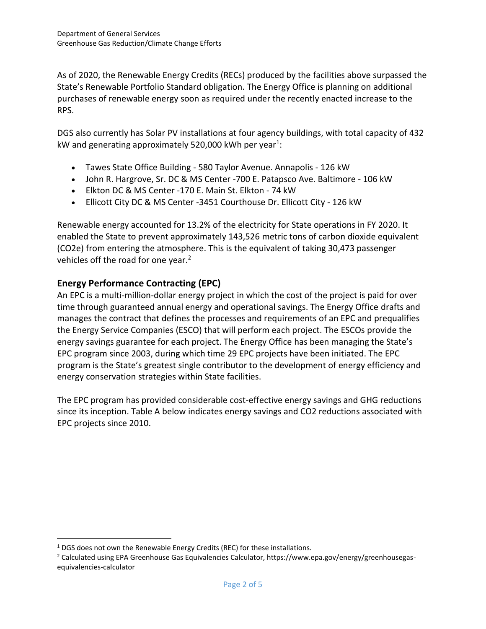As of 2020, the Renewable Energy Credits (RECs) produced by the facilities above surpassed the State's Renewable Portfolio Standard obligation. The Energy Office is planning on additional purchases of renewable energy soon as required under the recently enacted increase to the RPS.

DGS also currently has Solar PV installations at four agency buildings, with total capacity of 432 kW and generating approximately 520,000 kWh per year<sup>1</sup>:

- Tawes State Office Building 580 Taylor Avenue. Annapolis 126 kW
- John R. Hargrove, Sr. DC & MS Center -700 E. Patapsco Ave. Baltimore 106 kW
- Elkton DC & MS Center -170 E. Main St. Elkton 74 kW
- Ellicott City DC & MS Center -3451 Courthouse Dr. Ellicott City 126 kW

Renewable energy accounted for 13.2% of the electricity for State operations in FY 2020. It enabled the State to prevent approximately 143,526 metric tons of carbon dioxide equivalent (CO2e) from entering the atmosphere. This is the equivalent of taking 30,473 passenger vehicles off the road for one year.<sup>2</sup>

### **Energy Performance Contracting (EPC)**

An EPC is a multi-million-dollar energy project in which the cost of the project is paid for over time through guaranteed annual energy and operational savings. The Energy Office drafts and manages the contract that defines the processes and requirements of an EPC and prequalifies the Energy Service Companies (ESCO) that will perform each project. The ESCOs provide the energy savings guarantee for each project. The Energy Office has been managing the State's EPC program since 2003, during which time 29 EPC projects have been initiated. The EPC program is the State's greatest single contributor to the development of energy efficiency and energy conservation strategies within State facilities.

The EPC program has provided considerable cost-effective energy savings and GHG reductions since its inception. Table A below indicates energy savings and CO2 reductions associated with EPC projects since 2010.

<sup>&</sup>lt;sup>1</sup> DGS does not own the Renewable Energy Credits (REC) for these installations.

<sup>2</sup> Calculated using EPA Greenhouse Gas Equivalencies Calculator, https://www.epa.gov/energy/greenhousegasequivalencies-calculator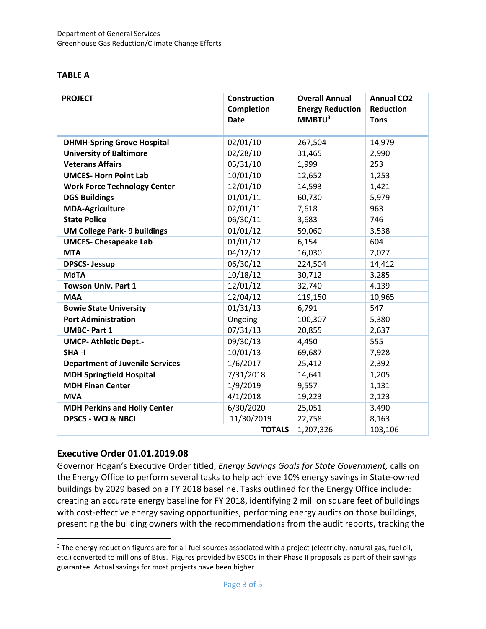#### **TABLE A**

| <b>PROJECT</b>                         | <b>Construction</b><br>Completion<br><b>Date</b> | <b>Overall Annual</b><br><b>Energy Reduction</b><br>MMBTU <sup>3</sup> | <b>Annual CO2</b><br><b>Reduction</b><br><b>Tons</b> |
|----------------------------------------|--------------------------------------------------|------------------------------------------------------------------------|------------------------------------------------------|
| <b>DHMH-Spring Grove Hospital</b>      | 02/01/10                                         | 267,504                                                                | 14,979                                               |
| <b>University of Baltimore</b>         | 02/28/10                                         | 31,465                                                                 | 2,990                                                |
| <b>Veterans Affairs</b>                | 05/31/10                                         | 1,999                                                                  | 253                                                  |
| <b>UMCES- Horn Point Lab</b>           | 10/01/10                                         | 12,652                                                                 | 1,253                                                |
| <b>Work Force Technology Center</b>    | 12/01/10                                         | 14,593                                                                 | 1,421                                                |
| <b>DGS Buildings</b>                   | 01/01/11                                         | 60,730                                                                 | 5,979                                                |
| <b>MDA-Agriculture</b>                 | 02/01/11                                         | 7,618                                                                  | 963                                                  |
| <b>State Police</b>                    | 06/30/11                                         | 3,683                                                                  | 746                                                  |
| <b>UM College Park- 9 buildings</b>    | 01/01/12                                         | 59,060                                                                 | 3,538                                                |
| <b>UMCES- Chesapeake Lab</b>           | 01/01/12                                         | 6,154                                                                  | 604                                                  |
| <b>MTA</b>                             | 04/12/12                                         | 16,030                                                                 | 2,027                                                |
| <b>DPSCS-Jessup</b>                    | 06/30/12                                         | 224,504                                                                | 14,412                                               |
| <b>MdTA</b>                            | 10/18/12                                         | 30,712                                                                 | 3,285                                                |
| <b>Towson Univ. Part 1</b>             | 12/01/12                                         | 32,740                                                                 | 4,139                                                |
| <b>MAA</b>                             | 12/04/12                                         | 119,150                                                                | 10,965                                               |
| <b>Bowie State University</b>          | 01/31/13                                         | 6,791                                                                  | 547                                                  |
| <b>Port Administration</b>             | Ongoing                                          | 100,307                                                                | 5,380                                                |
| <b>UMBC-Part 1</b>                     | 07/31/13                                         | 20,855                                                                 | 2,637                                                |
| <b>UMCP- Athletic Dept.-</b>           | 09/30/13                                         | 4,450                                                                  | 555                                                  |
| SHA-I                                  | 10/01/13                                         | 69,687                                                                 | 7,928                                                |
| <b>Department of Juvenile Services</b> | 1/6/2017                                         | 25,412                                                                 | 2,392                                                |
| <b>MDH Springfield Hospital</b>        | 7/31/2018                                        | 14,641                                                                 | 1,205                                                |
| <b>MDH Finan Center</b>                | 1/9/2019                                         | 9,557                                                                  | 1,131                                                |
| <b>MVA</b>                             | 4/1/2018                                         | 19,223                                                                 | 2,123                                                |
| <b>MDH Perkins and Holly Center</b>    | 6/30/2020                                        | 25,051                                                                 | 3,490                                                |
| <b>DPSCS - WCI &amp; NBCI</b>          | 11/30/2019                                       | 22,758                                                                 | 8,163                                                |
|                                        | <b>TOTALS</b>                                    | 1,207,326                                                              | 103,106                                              |

#### **Executive Order 01.01.2019.08**

Governor Hogan's Executive Order titled, *Energy Savings Goals for State Government,* calls on the Energy Office to perform several tasks to help achieve 10% energy savings in State-owned buildings by 2029 based on a FY 2018 baseline. Tasks outlined for the Energy Office include: creating an accurate energy baseline for FY 2018, identifying 2 million square feet of buildings with cost-effective energy saving opportunities, performing energy audits on those buildings, presenting the building owners with the recommendations from the audit reports, tracking the

<sup>&</sup>lt;sup>3</sup> The energy reduction figures are for all fuel sources associated with a project (electricity, natural gas, fuel oil, etc.) converted to millions of Btus. Figures provided by ESCOs in their Phase II proposals as part of their savings guarantee. Actual savings for most projects have been higher.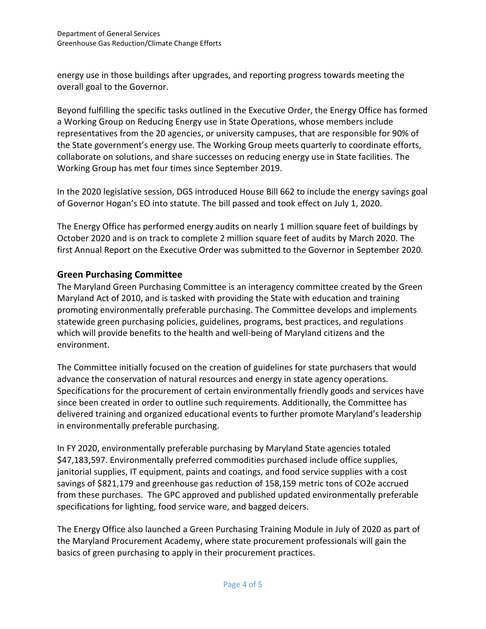energy use in those buildings after upgrades, and reporting progress towards meeting the overall goal to the Governor.

Beyond fulfilling the specific tasks outlined in the Executive Order, the Energy Office has formed a Working Group on Reducing Energy use in State Operations, whose members include representatives from the 20 agencies, or university campuses, that are responsible for 90% of the State government's energy use. The Working Group meets quarterly to coordinate efforts, collaborate on solutions, and share successes on reducing energy use in State facilities. The Working Group has met four times since September 2019.

In the 2020 legislative session, DGS introduced House Bill 662 to include the energy savings goal of Governor Hogan's EO into statute. The bill passed and took effect on July 1, 2020.

The Energy Office has performed energy audits on nearly 1 million square feet of buildings by October 2020 and is on track to complete 2 million square feet of audits by March 2020. The first Annual Report on the Executive Order was submitted to the Governor in September 2020.

### **Green Purchasing Committee**

The Maryland Green Purchasing Committee is an interagency committee created by the Green Maryland Act of 2010, and is tasked with providing the State with education and training promoting environmentally preferable purchasing. The Committee develops and implements statewide green purchasing policies, guidelines, programs, best practices, and regulations which will provide benefits to the health and well-being of Maryland citizens and the environment.

The Committee initially focused on the creation of guidelines for state purchasers that would advance the conservation of natural resources and energy in state agency operations. Specifications for the procurement of certain environmentally friendly goods and services have since been created in order to outline such requirements. Additionally, the Committee has delivered training and organized educational events to further promote Maryland's leadership in environmentally preferable purchasing.

In FY 2020, environmentally preferable purchasing by Maryland State agencies totaled \$47,183,597. Environmentally preferred commodities purchased include office supplies, janitorial supplies, IT equipment, paints and coatings, and food service supplies with a cost savings of \$821,179 and greenhouse gas reduction of 158,159 metric tons of CO2e accrued from these purchases. The GPC approved and published updated environmentally preferable specifications for lighting, food service ware, and bagged deicers.

The Energy Office also launched a Green Purchasing Training Module in July of 2020 as part of the Maryland Procurement Academy, where state procurement professionals will gain the basics of green purchasing to apply in their procurement practices.